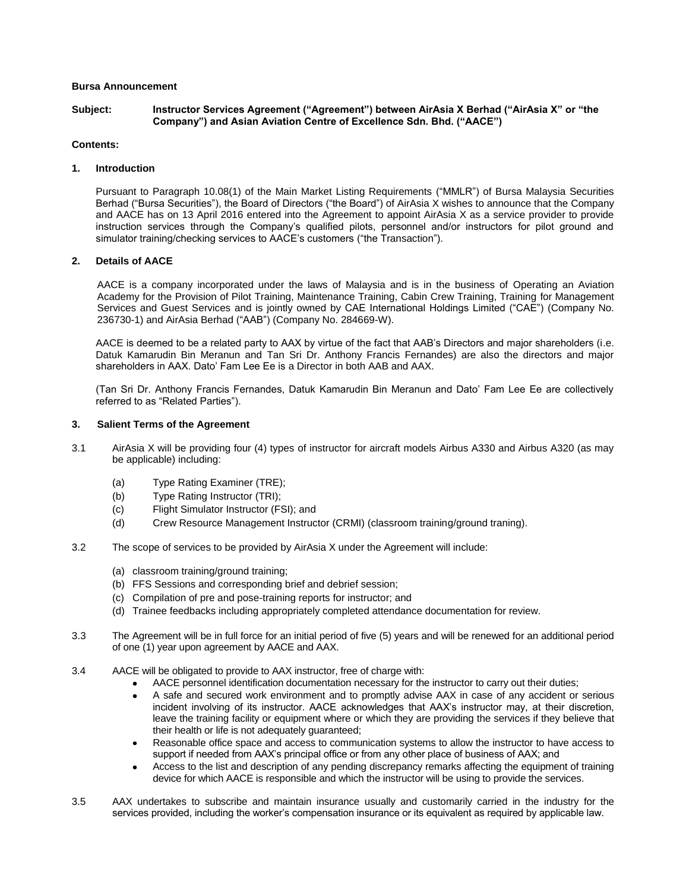# **Bursa Announcement**

#### **Subject: Instructor Services Agreement ("Agreement") between AirAsia X Berhad ("AirAsia X" or "the Company") and Asian Aviation Centre of Excellence Sdn. Bhd. ("AACE")**

# **Contents:**

## **1. Introduction**

Pursuant to Paragraph 10.08(1) of the Main Market Listing Requirements ("MMLR") of Bursa Malaysia Securities Berhad ("Bursa Securities"), the Board of Directors ("the Board") of AirAsia X wishes to announce that the Company and AACE has on 13 April 2016 entered into the Agreement to appoint AirAsia X as a service provider to provide instruction services through the Company's qualified pilots, personnel and/or instructors for pilot ground and simulator training/checking services to AACE's customers ("the Transaction").

# **2. Details of AACE**

AACE is a company incorporated under the laws of Malaysia and is in the business of Operating an Aviation Academy for the Provision of Pilot Training, Maintenance Training, Cabin Crew Training, Training for Management Services and Guest Services and is jointly owned by CAE International Holdings Limited ("CAE") (Company No. 236730-1) and AirAsia Berhad ("AAB") (Company No. 284669-W).

AACE is deemed to be a related party to AAX by virtue of the fact that AAB's Directors and major shareholders (i.e. Datuk Kamarudin Bin Meranun and Tan Sri Dr. Anthony Francis Fernandes) are also the directors and major shareholders in AAX. Dato' Fam Lee Ee is a Director in both AAB and AAX.

(Tan Sri Dr. Anthony Francis Fernandes, Datuk Kamarudin Bin Meranun and Dato' Fam Lee Ee are collectively referred to as "Related Parties").

## **3. Salient Terms of the Agreement**

- 3.1 AirAsia X will be providing four (4) types of instructor for aircraft models Airbus A330 and Airbus A320 (as may be applicable) including:
	- (a) Type Rating Examiner (TRE);
	- (b) Type Rating Instructor (TRI);
	- (c) Flight Simulator Instructor (FSI); and
	- (d) Crew Resource Management Instructor (CRMI) (classroom training/ground traning).
- 3.2 The scope of services to be provided by AirAsia X under the Agreement will include:
	- (a) classroom training/ground training;
	- (b) FFS Sessions and corresponding brief and debrief session;
	- (c) Compilation of pre and pose-training reports for instructor; and
	- (d) Trainee feedbacks including appropriately completed attendance documentation for review.
- 3.3 The Agreement will be in full force for an initial period of five (5) years and will be renewed for an additional period of one (1) year upon agreement by AACE and AAX.
- 3.4 AACE will be obligated to provide to AAX instructor, free of charge with:
	- AACE personnel identification documentation necessary for the instructor to carry out their duties;
	- A safe and secured work environment and to promptly advise AAX in case of any accident or serious incident involving of its instructor. AACE acknowledges that AAX's instructor may, at their discretion, leave the training facility or equipment where or which they are providing the services if they believe that their health or life is not adequately guaranteed;
	- Reasonable office space and access to communication systems to allow the instructor to have access to  $\bullet$ support if needed from AAX's principal office or from any other place of business of AAX; and
	- Access to the list and description of any pending discrepancy remarks affecting the equipment of training  $\bullet$ device for which AACE is responsible and which the instructor will be using to provide the services.
- 3.5 AAX undertakes to subscribe and maintain insurance usually and customarily carried in the industry for the services provided, including the worker's compensation insurance or its equivalent as required by applicable law.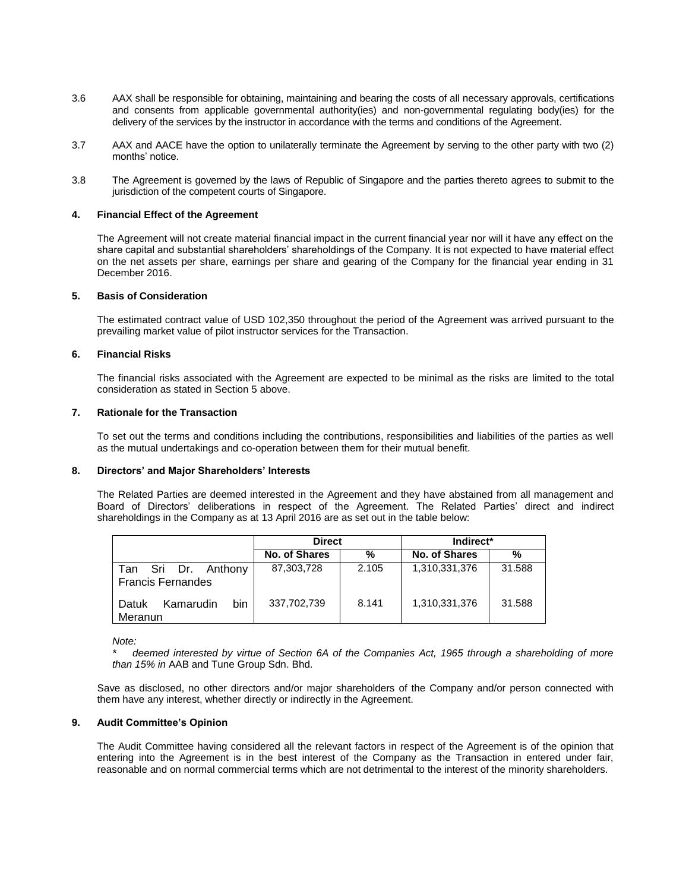- 3.6 AAX shall be responsible for obtaining, maintaining and bearing the costs of all necessary approvals, certifications and consents from applicable governmental authority(ies) and non-governmental regulating body(ies) for the delivery of the services by the instructor in accordance with the terms and conditions of the Agreement.
- 3.7 AAX and AACE have the option to unilaterally terminate the Agreement by serving to the other party with two (2) months' notice.
- 3.8 The Agreement is governed by the laws of Republic of Singapore and the parties thereto agrees to submit to the jurisdiction of the competent courts of Singapore.

## **4. Financial Effect of the Agreement**

The Agreement will not create material financial impact in the current financial year nor will it have any effect on the share capital and substantial shareholders' shareholdings of the Company. It is not expected to have material effect on the net assets per share, earnings per share and gearing of the Company for the financial year ending in 31 December 2016.

### **5. Basis of Consideration**

The estimated contract value of USD 102,350 throughout the period of the Agreement was arrived pursuant to the prevailing market value of pilot instructor services for the Transaction.

## **6. Financial Risks**

The financial risks associated with the Agreement are expected to be minimal as the risks are limited to the total consideration as stated in Section 5 above.

## **7. Rationale for the Transaction**

To set out the terms and conditions including the contributions, responsibilities and liabilities of the parties as well as the mutual undertakings and co-operation between them for their mutual benefit.

#### **8. Directors' and Major Shareholders' Interests**

The Related Parties are deemed interested in the Agreement and they have abstained from all management and Board of Directors' deliberations in respect of the Agreement. The Related Parties' direct and indirect shareholdings in the Company as at 13 April 2016 are as set out in the table below:

|                                                    | <b>Direct</b> |       | Indirect*     |        |
|----------------------------------------------------|---------------|-------|---------------|--------|
|                                                    | No. of Shares | %     | No. of Shares | %      |
| Sri Dr. Anthony<br>Tan<br><b>Francis Fernandes</b> | 87,303,728    | 2.105 | 1,310,331,376 | 31.588 |
| bin<br>Kamarudin<br>Datuk<br>Meranun               | 337,702,739   | 8.141 | 1,310,331,376 | 31.588 |

*Note:*

*\* deemed interested by virtue of Section 6A of the Companies Act, 1965 through a shareholding of more than 15% in* AAB and Tune Group Sdn. Bhd.

Save as disclosed, no other directors and/or major shareholders of the Company and/or person connected with them have any interest, whether directly or indirectly in the Agreement.

# **9. Audit Committee's Opinion**

The Audit Committee having considered all the relevant factors in respect of the Agreement is of the opinion that entering into the Agreement is in the best interest of the Company as the Transaction in entered under fair, reasonable and on normal commercial terms which are not detrimental to the interest of the minority shareholders.